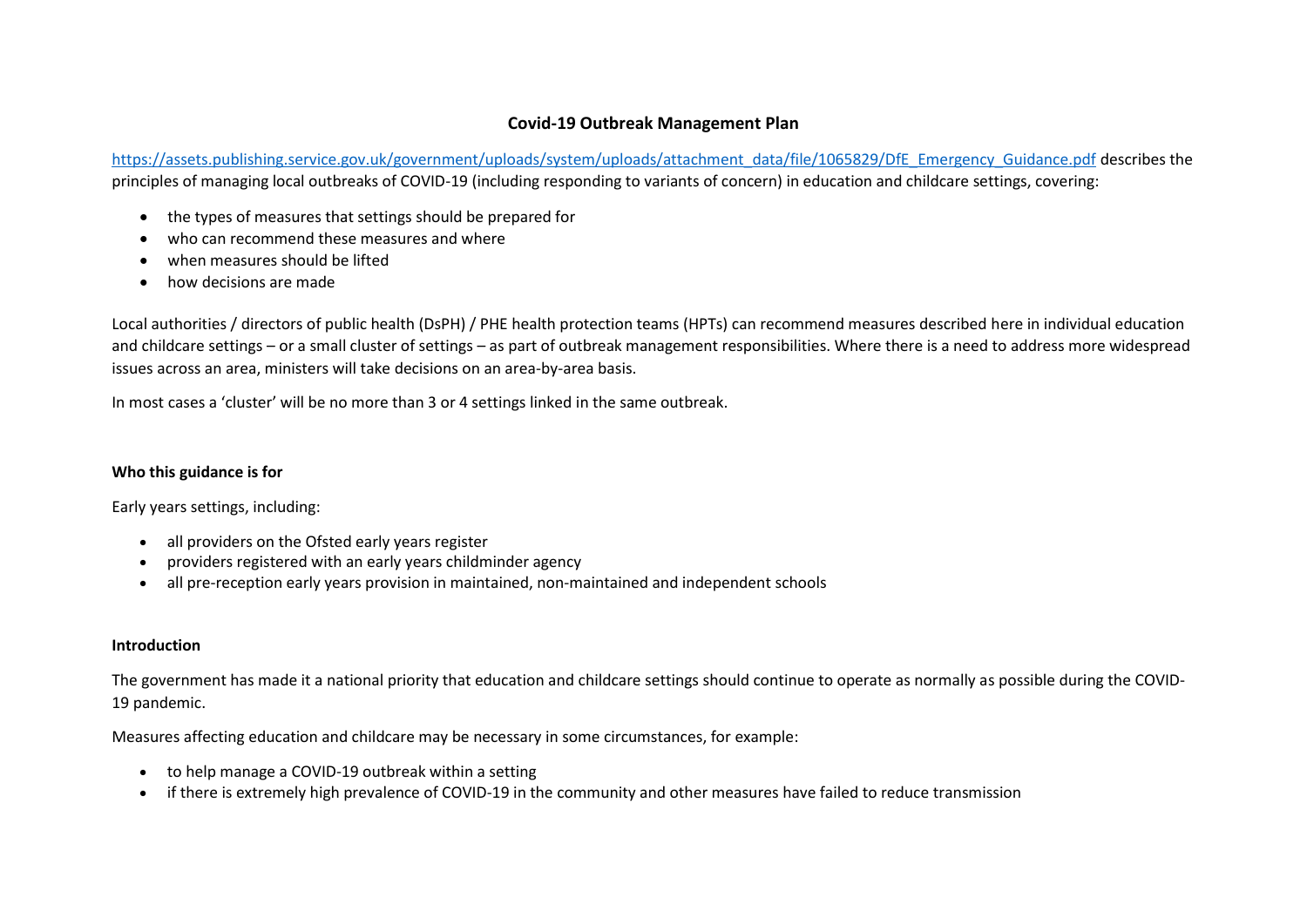# **Covid-19 Outbreak Management Plan**

[https://assets.publishing.service.gov.uk/government/uploads/system/uploads/attachment\\_data/file/1065829/DfE\\_Emergency\\_Guidance.pdf](https://assets.publishing.service.gov.uk/government/uploads/system/uploads/attachment_data/file/1065829/DfE_Emergency_Guidance.pdf) describes the principles of managing local outbreaks of COVID-19 (including responding to variants of concern) in education and childcare settings, covering:

- the types of measures that settings should be prepared for
- who can recommend these measures and where
- when measures should be lifted
- how decisions are made

Local authorities / directors of public health (DsPH) / PHE health protection teams (HPTs) can recommend measures described here in individual education and childcare settings – or a small cluster of settings – as part of outbreak management responsibilities. Where there is a need to address more widespread issues across an area, ministers will take decisions on an area-by-area basis.

In most cases a 'cluster' will be no more than 3 or 4 settings linked in the same outbreak.

## **Who this guidance is for**

Early years settings, including:

- all providers on the Ofsted early years register
- providers registered with an early years childminder agency
- all pre-reception early years provision in maintained, non-maintained and independent schools

## **Introduction**

The government has made it a national priority that education and childcare settings should continue to operate as normally as possible during the COVID-19 pandemic.

Measures affecting education and childcare may be necessary in some circumstances, for example:

- to help manage a COVID-19 outbreak within a setting
- if there is extremely high prevalence of COVID-19 in the community and other measures have failed to reduce transmission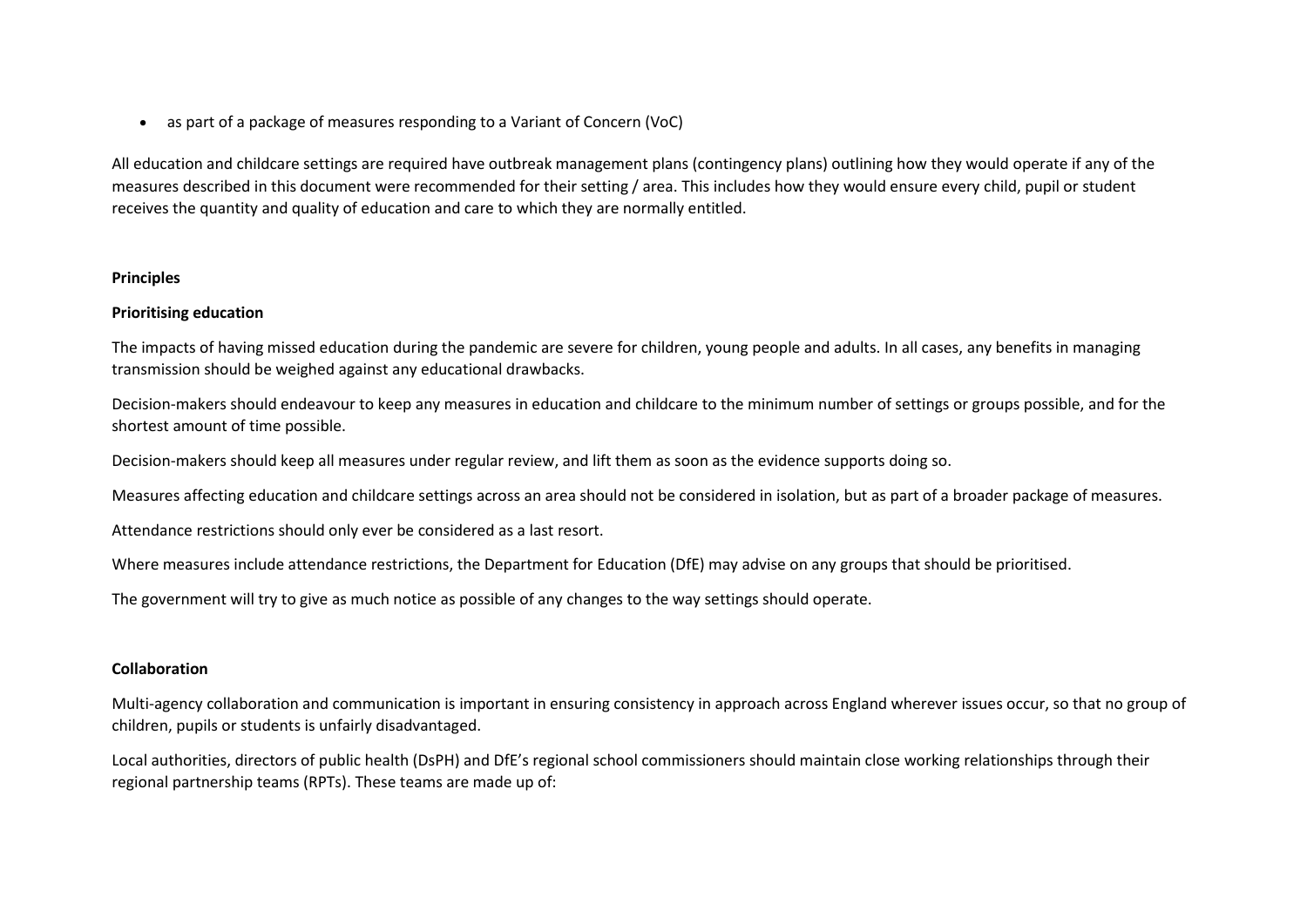• as part of a package of measures responding to a Variant of Concern (VoC)

All education and childcare settings are required have outbreak management plans (contingency plans) outlining how they would operate if any of the measures described in this document were recommended for their setting / area. This includes how they would ensure every child, pupil or student receives the quantity and quality of education and care to which they are normally entitled.

#### **Principles**

### **Prioritising education**

The impacts of having missed education during the pandemic are severe for children, young people and adults. In all cases, any benefits in managing transmission should be weighed against any educational drawbacks.

Decision-makers should endeavour to keep any measures in education and childcare to the minimum number of settings or groups possible, and for the shortest amount of time possible.

Decision-makers should keep all measures under regular review, and lift them as soon as the evidence supports doing so.

Measures affecting education and childcare settings across an area should not be considered in isolation, but as part of a broader package of measures.

Attendance restrictions should only ever be considered as a last resort.

Where measures include attendance restrictions, the Department for Education (DfE) may advise on any groups that should be prioritised.

The government will try to give as much notice as possible of any changes to the way settings should operate.

#### **Collaboration**

Multi-agency collaboration and communication is important in ensuring consistency in approach across England wherever issues occur, so that no group of children, pupils or students is unfairly disadvantaged.

Local authorities, directors of public health (DsPH) and DfE's regional school commissioners should maintain close working relationships through their regional partnership teams (RPTs). These teams are made up of: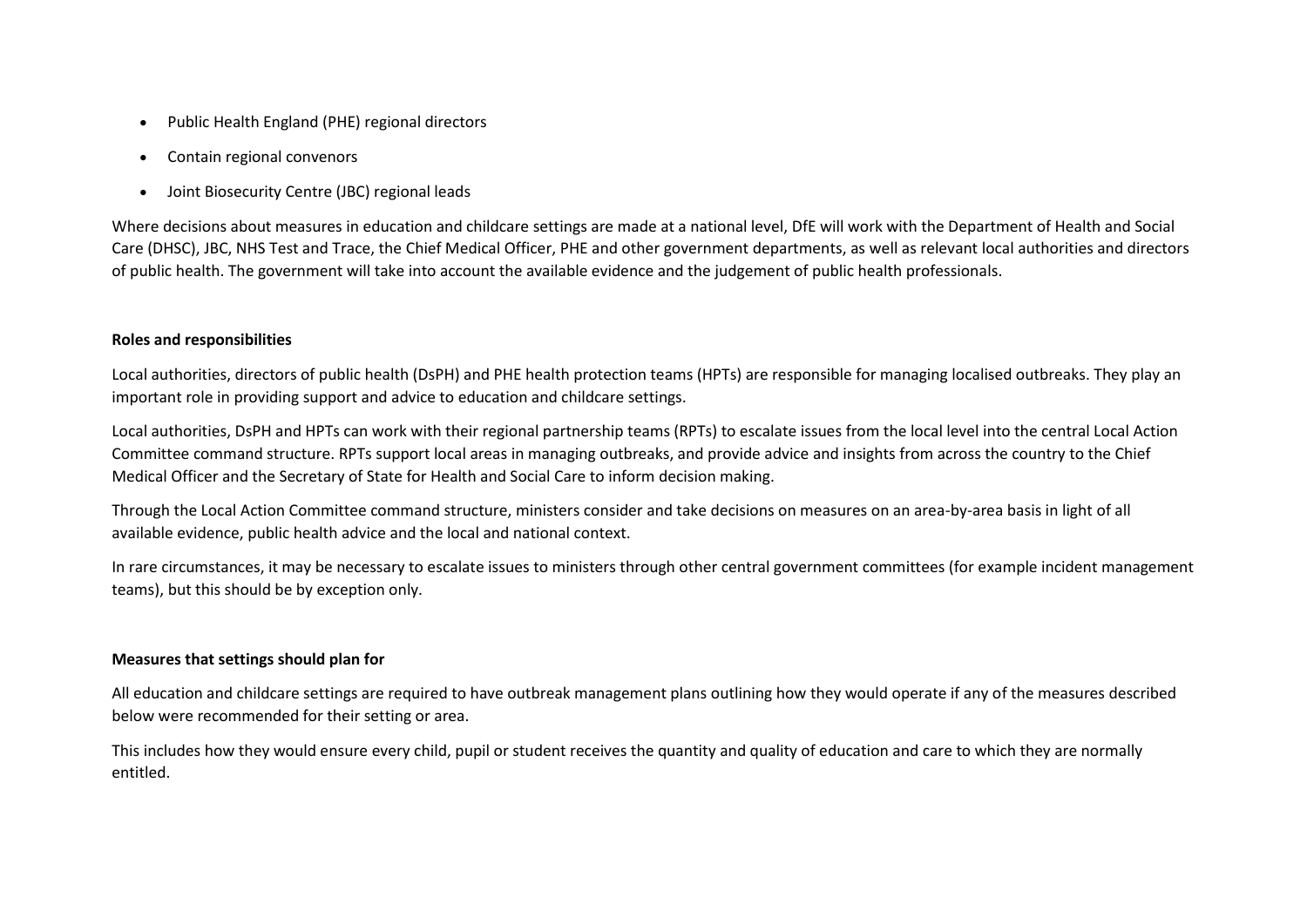- Public Health England (PHE) regional directors
- Contain regional convenors
- Joint Biosecurity Centre (JBC) regional leads

Where decisions about measures in education and childcare settings are made at a national level, DfE will work with the Department of Health and Social Care (DHSC), JBC, NHS Test and Trace, the Chief Medical Officer, PHE and other government departments, as well as relevant local authorities and directors of public health. The government will take into account the available evidence and the judgement of public health professionals.

# **Roles and responsibilities**

Local authorities, directors of public health (DsPH) and PHE health protection teams (HPTs) are responsible for managing localised outbreaks. They play an important role in providing support and advice to education and childcare settings.

Local authorities, DsPH and HPTs can work with their regional partnership teams (RPTs) to escalate issues from the local level into the central Local Action Committee command structure. RPTs support local areas in managing outbreaks, and provide advice and insights from across the country to the Chief Medical Officer and the Secretary of State for Health and Social Care to inform decision making.

Through the Local Action Committee command structure, ministers consider and take decisions on measures on an area-by-area basis in light of all available evidence, public health advice and the local and national context.

In rare circumstances, it may be necessary to escalate issues to ministers through other central government committees (for example incident management teams), but this should be by exception only.

## **Measures that settings should plan for**

All education and childcare settings are required to have outbreak management plans outlining how they would operate if any of the measures described below were recommended for their setting or area.

This includes how they would ensure every child, pupil or student receives the quantity and quality of education and care to which they are normally entitled.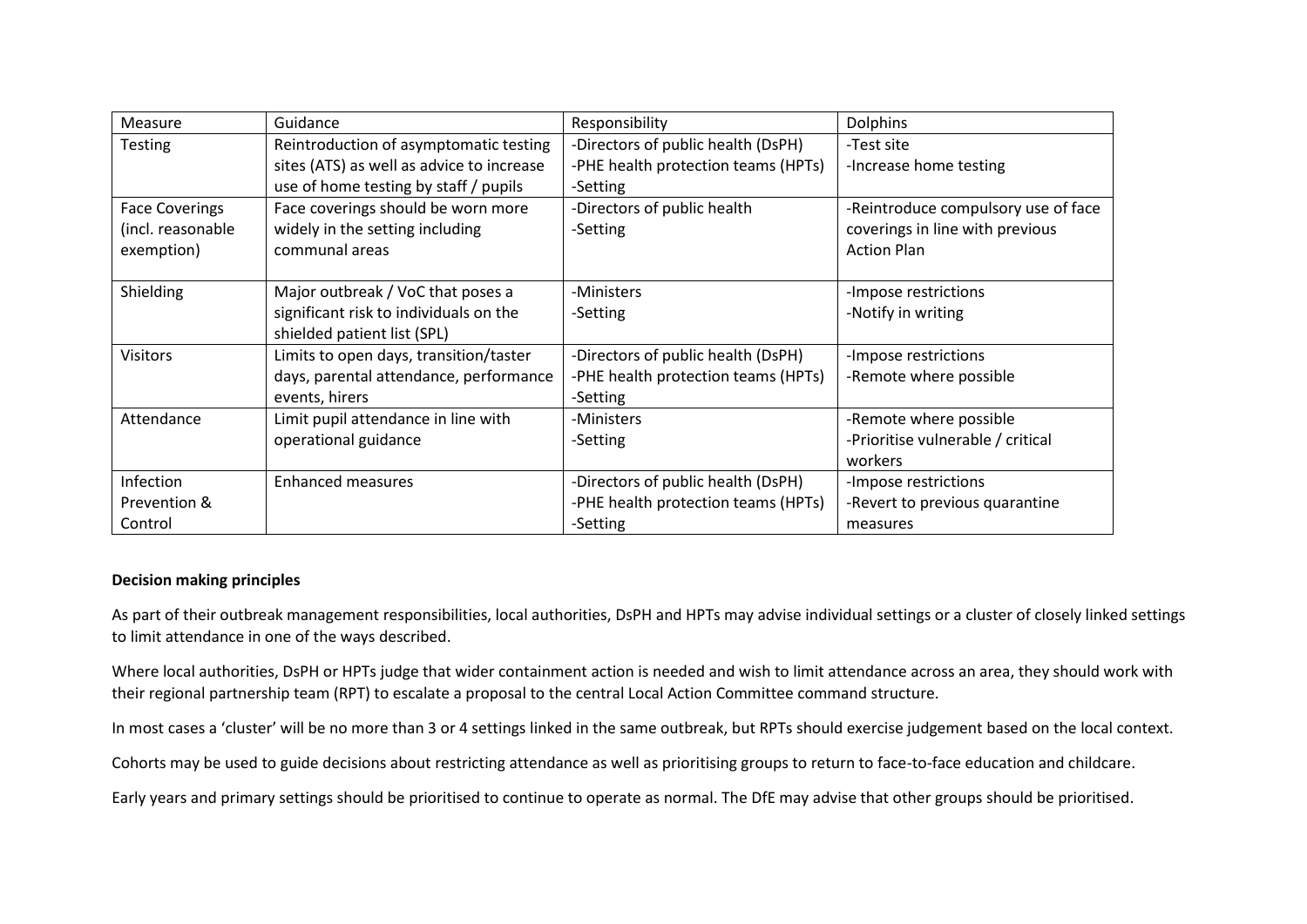| Measure               | Guidance                                  | Responsibility                      | <b>Dolphins</b>                     |
|-----------------------|-------------------------------------------|-------------------------------------|-------------------------------------|
| <b>Testing</b>        | Reintroduction of asymptomatic testing    | -Directors of public health (DsPH)  | -Test site                          |
|                       | sites (ATS) as well as advice to increase | -PHE health protection teams (HPTs) | -Increase home testing              |
|                       | use of home testing by staff / pupils     | -Setting                            |                                     |
| <b>Face Coverings</b> | Face coverings should be worn more        | -Directors of public health         | -Reintroduce compulsory use of face |
| (incl. reasonable     | widely in the setting including           | -Setting                            | coverings in line with previous     |
| exemption)            | communal areas                            |                                     | <b>Action Plan</b>                  |
|                       |                                           |                                     |                                     |
| Shielding             | Major outbreak / VoC that poses a         | -Ministers                          | -Impose restrictions                |
|                       | significant risk to individuals on the    | -Setting                            | -Notify in writing                  |
|                       | shielded patient list (SPL)               |                                     |                                     |
| <b>Visitors</b>       | Limits to open days, transition/taster    | -Directors of public health (DsPH)  | -Impose restrictions                |
|                       | days, parental attendance, performance    | -PHE health protection teams (HPTs) | -Remote where possible              |
|                       | events, hirers                            | -Setting                            |                                     |
| Attendance            | Limit pupil attendance in line with       | -Ministers                          | -Remote where possible              |
|                       | operational guidance                      | -Setting                            | -Prioritise vulnerable / critical   |
|                       |                                           |                                     | workers                             |
| Infection             | <b>Enhanced measures</b>                  | -Directors of public health (DsPH)  | -Impose restrictions                |
| Prevention &          |                                           | -PHE health protection teams (HPTs) | -Revert to previous quarantine      |
| Control               |                                           | -Setting                            | measures                            |

## **Decision making principles**

As part of their outbreak management responsibilities, local authorities, DsPH and HPTs may advise individual settings or a cluster of closely linked settings to limit attendance in one of the ways described.

Where local authorities, DsPH or HPTs judge that wider containment action is needed and wish to limit attendance across an area, they should work with their regional partnership team (RPT) to escalate a proposal to the central Local Action Committee command structure.

In most cases a 'cluster' will be no more than 3 or 4 settings linked in the same outbreak, but RPTs should exercise judgement based on the local context.

Cohorts may be used to guide decisions about restricting attendance as well as prioritising groups to return to face-to-face education and childcare.

Early years and primary settings should be prioritised to continue to operate as normal. The DfE may advise that other groups should be prioritised.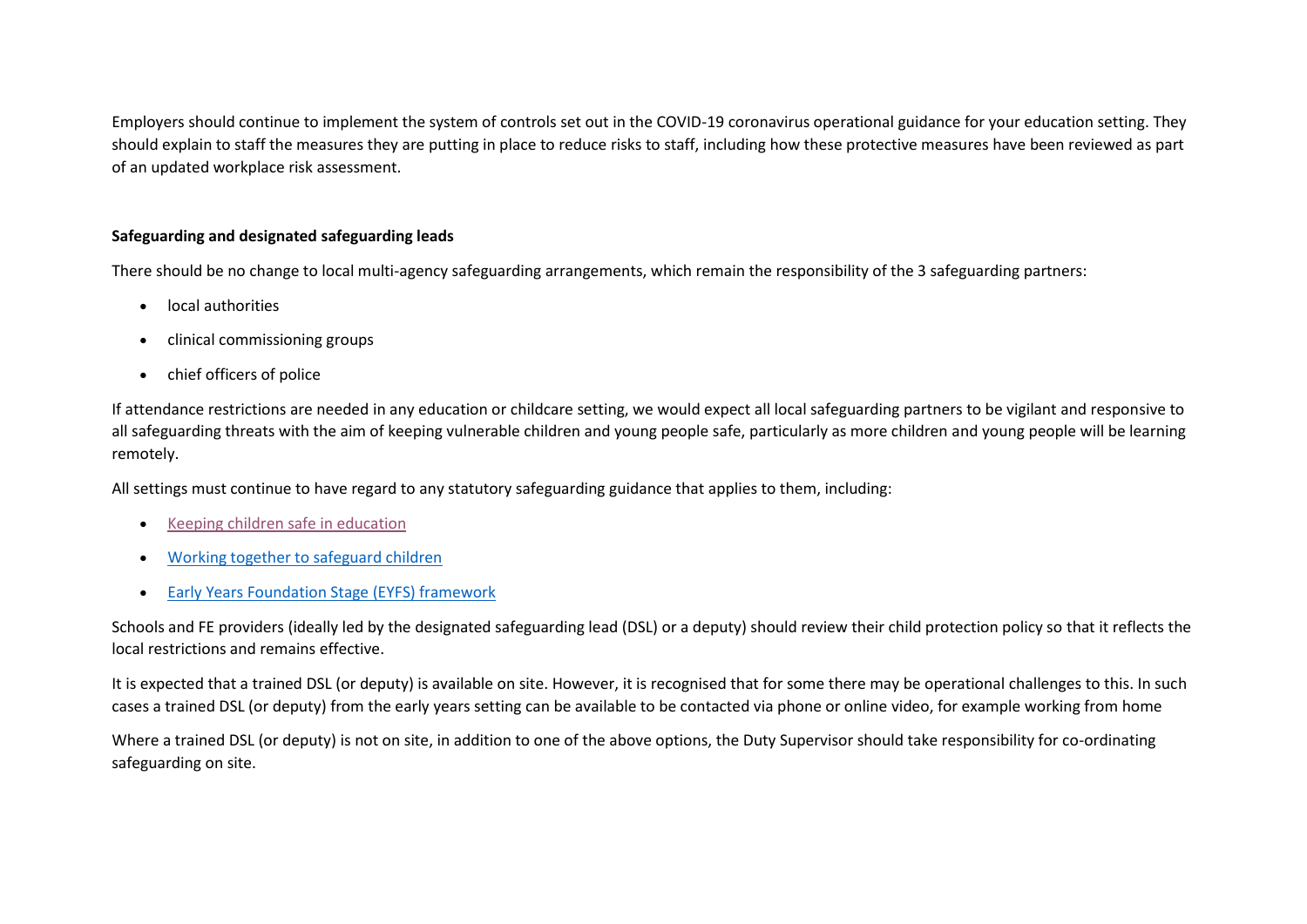Employers should continue to implement the system of controls set out in the COVID-19 coronavirus operational guidance for your education setting. They should explain to staff the measures they are putting in place to reduce risks to staff, including how these protective measures have been reviewed as part of an updated workplace risk assessment.

# **Safeguarding and designated safeguarding leads**

There should be no change to local multi-agency safeguarding arrangements, which remain the responsibility of the 3 safeguarding partners:

- local authorities
- clinical commissioning groups
- chief officers of police

If attendance restrictions are needed in any education or childcare setting, we would expect all local safeguarding partners to be vigilant and responsive to all safeguarding threats with the aim of keeping vulnerable children and young people safe, particularly as more children and young people will be learning remotely.

All settings must continue to have regard to any statutory safeguarding guidance that applies to them, including:

- [Keeping children safe in education](https://www.gov.uk/government/publications/keeping-children-safe-in-education--2)
- [Working together to safeguard children](https://www.gov.uk/government/publications/working-together-to-safeguard-children--2)
- [Early Years Foundation Stage \(EYFS\) framework](https://www.gov.uk/government/publications/early-years-foundation-stage-framework--2)

Schools and FE providers (ideally led by the designated safeguarding lead (DSL) or a deputy) should review their child protection policy so that it reflects the local restrictions and remains effective.

It is expected that a trained DSL (or deputy) is available on site. However, it is recognised that for some there may be operational challenges to this. In such cases a trained DSL (or deputy) from the early years setting can be available to be contacted via phone or online video, for example working from home

Where a trained DSL (or deputy) is not on site, in addition to one of the above options, the Duty Supervisor should take responsibility for co-ordinating safeguarding on site.